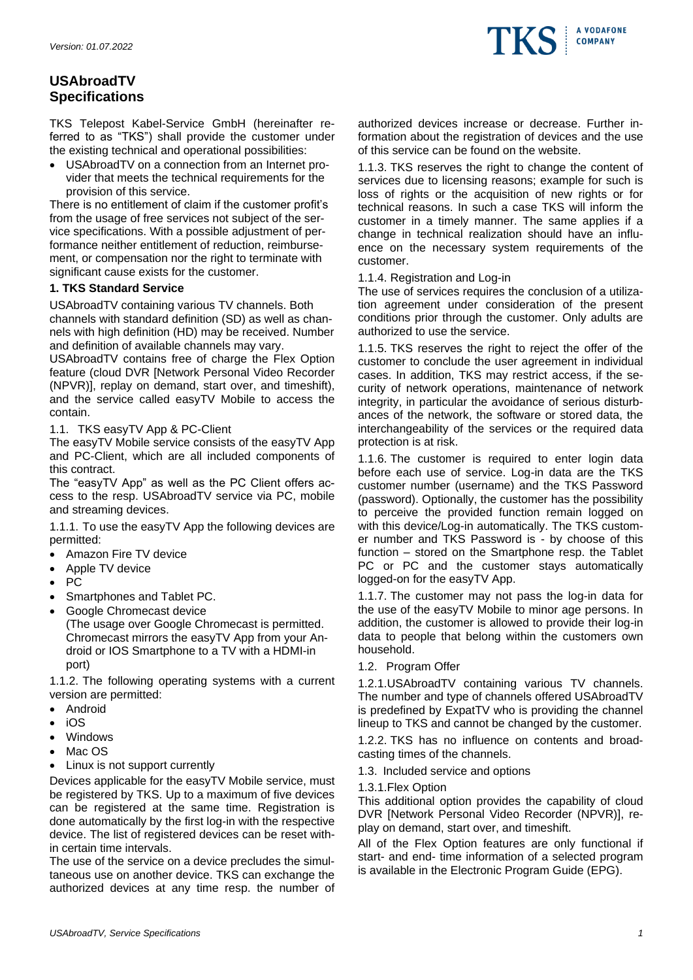

# **USAbroadTV Specifications**

TKS Telepost Kabel-Service GmbH (hereinafter referred to as "TKS") shall provide the customer under the existing technical and operational possibilities:

• USAbroadTV on a connection from an Internet provider that meets the technical requirements for the provision of this service.

There is no entitlement of claim if the customer profit's from the usage of free services not subject of the service specifications. With a possible adjustment of performance neither entitlement of reduction, reimbursement, or compensation nor the right to terminate with significant cause exists for the customer.

# **1. TKS Standard Service**

USAbroadTV containing various TV channels. Both channels with standard definition (SD) as well as channels with high definition (HD) may be received. Number and definition of available channels may vary.

USAbroadTV contains free of charge the Flex Option feature (cloud DVR [Network Personal Video Recorder (NPVR)], replay on demand, start over, and timeshift), and the service called easyTV Mobile to access the contain.

## 1.1. TKS easyTV App & PC-Client

The easyTV Mobile service consists of the easyTV App and PC-Client, which are all included components of this contract.

The "easyTV App" as well as the PC Client offers access to the resp. USAbroadTV service via PC, mobile and streaming devices.

1.1.1. To use the easyTV App the following devices are permitted:

- Amazon Fire TV device
- Apple TV device
- PC
- Smartphones and Tablet PC.
- Google Chromecast device (The usage over Google Chromecast is permitted. Chromecast mirrors the easyTV App from your Android or IOS Smartphone to a TV with a HDMI-in port)

1.1.2. The following operating systems with a current version are permitted:

- Android
- iOS
- Windows
- Mac OS
- Linux is not support currently

Devices applicable for the easyTV Mobile service, must be registered by TKS. Up to a maximum of five devices can be registered at the same time. Registration is done automatically by the first log-in with the respective device. The list of registered devices can be reset within certain time intervals.

The use of the service on a device precludes the simultaneous use on another device. TKS can exchange the authorized devices at any time resp. the number of authorized devices increase or decrease. Further information about the registration of devices and the use of this service can be found on the website.

1.1.3. TKS reserves the right to change the content of services due to licensing reasons; example for such is loss of rights or the acquisition of new rights or for technical reasons. In such a case TKS will inform the customer in a timely manner. The same applies if a change in technical realization should have an influence on the necessary system requirements of the customer.

## 1.1.4. Registration and Log-in

The use of services requires the conclusion of a utilization agreement under consideration of the present conditions prior through the customer. Only adults are authorized to use the service.

1.1.5. TKS reserves the right to reject the offer of the customer to conclude the user agreement in individual cases. In addition, TKS may restrict access, if the security of network operations, maintenance of network integrity, in particular the avoidance of serious disturbances of the network, the software or stored data, the interchangeability of the services or the required data protection is at risk.

1.1.6. The customer is required to enter login data before each use of service. Log-in data are the TKS customer number (username) and the TKS Password (password). Optionally, the customer has the possibility to perceive the provided function remain logged on with this device/Log-in automatically. The TKS customer number and TKS Password is - by choose of this function – stored on the Smartphone resp. the Tablet PC or PC and the customer stays automatically logged-on for the easyTV App.

1.1.7. The customer may not pass the log-in data for the use of the easyTV Mobile to minor age persons. In addition, the customer is allowed to provide their log-in data to people that belong within the customers own household.

1.2. Program Offer

1.2.1.USAbroadTV containing various TV channels. The number and type of channels offered USAbroadTV is predefined by ExpatTV who is providing the channel lineup to TKS and cannot be changed by the customer.

1.2.2. TKS has no influence on contents and broadcasting times of the channels.

1.3. Included service and options

1.3.1.Flex Option

This additional option provides the capability of cloud DVR [Network Personal Video Recorder (NPVR)], replay on demand, start over, and timeshift.

All of the Flex Option features are only functional if start- and end- time information of a selected program is available in the Electronic Program Guide (EPG).